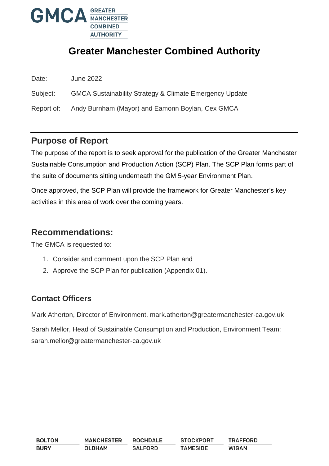

# **Greater Manchester Combined Authority**

| Date: | <b>June 2022</b> |
|-------|------------------|
|       |                  |

Subject: GMCA Sustainability Strategy & Climate Emergency Update

Report of: Andy Burnham (Mayor) and Eamonn Boylan, Cex GMCA

# **Purpose of Report**

The purpose of the report is to seek approval for the publication of the Greater Manchester Sustainable Consumption and Production Action (SCP) Plan. The SCP Plan forms part of the suite of documents sitting underneath the GM 5-year Environment Plan.

Once approved, the SCP Plan will provide the framework for Greater Manchester's key activities in this area of work over the coming years.

## **Recommendations:**

The GMCA is requested to:

- 1. Consider and comment upon the SCP Plan and
- 2. Approve the SCP Plan for publication (Appendix 01).

# **Contact Officers**

Mark Atherton, Director of Environment. mark.atherton@greatermanchester-ca.gov.uk

Sarah Mellor, Head of Sustainable Consumption and Production, Environment Team: sarah.mellor@greatermanchester-ca.gov.uk

| <b>BOLTON</b> | <b>MANCHESTER</b> | <b>ROCHDALE</b> | <b>STOCKPORT</b> | <b>TRAFFORD</b> |
|---------------|-------------------|-----------------|------------------|-----------------|
| <b>BURY</b>   | <b>OLDHAM</b>     | <b>SALFORD</b>  | <b>TAMESIDE</b>  | <b>WIGAN</b>    |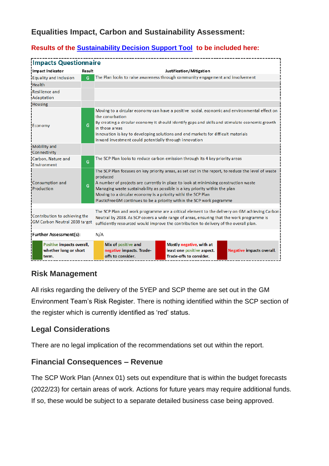# **Equalities Impact, Carbon and Sustainability Assessment:**

### **Results of the [Sustainability Decision Support Tool](http://insidegmca.gmfs.local/tools-and-apps/) to be included here:**

| <b>Impacts Questionnaire</b>                                   |        |                                                                                                                                                                                                                                                                                                                                                                                                                                 |  |  |  |
|----------------------------------------------------------------|--------|---------------------------------------------------------------------------------------------------------------------------------------------------------------------------------------------------------------------------------------------------------------------------------------------------------------------------------------------------------------------------------------------------------------------------------|--|--|--|
| Impact Indicator                                               | Result | Justification/Mitigation                                                                                                                                                                                                                                                                                                                                                                                                        |  |  |  |
| <b>Equality and Inclusion</b>                                  | G      | The Plan looks to raise awareness through community engagement and involvement                                                                                                                                                                                                                                                                                                                                                  |  |  |  |
| Health                                                         |        |                                                                                                                                                                                                                                                                                                                                                                                                                                 |  |  |  |
| Resilience and<br>Adaptation                                   |        |                                                                                                                                                                                                                                                                                                                                                                                                                                 |  |  |  |
| Housing                                                        |        |                                                                                                                                                                                                                                                                                                                                                                                                                                 |  |  |  |
| Economy                                                        | G      | Moving to a circular economy can have a positive social, economic and environmental effect on<br>the conurbation<br>By creating a circular economy it should identify gaps and skills and stimulate economic growth<br>in those areas<br>Innovation is key to developing solutions and end markets for difficult materials<br>Inward investment could potentially through innovation                                            |  |  |  |
| Mobility and<br>Connectivity                                   |        |                                                                                                                                                                                                                                                                                                                                                                                                                                 |  |  |  |
| Carbon, Nature and<br>Fnvironment                              | G      | The SCP Plan looks to reduce carbon emission through its 4 key priority areas                                                                                                                                                                                                                                                                                                                                                   |  |  |  |
| <b>Consumption and</b><br>Production                           | G      | The SCP Plan focuses on key priority areas, as set out in the report, to reduce the level of waste<br>produced<br>A number of projects are currently in place to look at minimising construction waste<br>Managing waste sustainability as possible is a key priority within the plan<br>Moving to a circular economy is a priority withi the SCP Plan<br>PlasticFreeGM continues to be a priority within the SCP work pogramme |  |  |  |
| Contribution to achieving the<br>GM Carbon Neutral 2038 target |        | The SCP Plan and work programme are a critical element to the delivery on GM achieving Carbon<br>Neutral by 2038. As SCP covers a wide range of areas, ensuring that the work programme is<br>sufficiently resourced would improve the contribution to delivery of the overall plan.                                                                                                                                            |  |  |  |
| <b>Further Assessment(s):</b>                                  | N/A    |                                                                                                                                                                                                                                                                                                                                                                                                                                 |  |  |  |
| Positive impacts overall,<br>whether long or short<br>term.    |        | Mix of positive and<br>Mostly negative, with at<br>least one positive aspect.<br>negative impacts. Trade-<br><b>Negative impacts overall.</b><br>offs to consider.<br>Trade-offs to consider.                                                                                                                                                                                                                                   |  |  |  |

### **Risk Management**

All risks regarding the delivery of the 5YEP and SCP theme are set out in the GM Environment Team's Risk Register. There is nothing identified within the SCP section of the register which is currently identified as 'red' status.

### **Legal Considerations**

There are no legal implication of the recommendations set out within the report.

### **Financial Consequences – Revenue**

The SCP Work Plan (Annex 01) sets out expenditure that is within the budget forecasts (2022/23) for certain areas of work. Actions for future years may require additional funds. If so, these would be subject to a separate detailed business case being approved.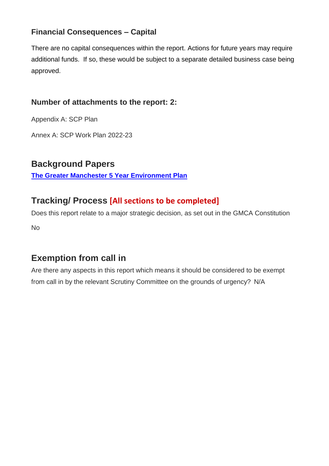# **Financial Consequences – Capital**

There are no capital consequences within the report. Actions for future years may require additional funds. If so, these would be subject to a separate detailed business case being approved.

## **Number of attachments to the report: 2:**

Appendix A: SCP Plan

Annex A: SCP Work Plan 2022-23

# **Background Papers**

**[The Greater Manchester 5 Year Environment Plan](https://gmgreencity.com/wp-content/uploads/2021/08/GMCA_FiveYearEnvironmentPlan_Full.pdf)**

# **Tracking/ Process [All sections to be completed]**

Does this report relate to a major strategic decision, as set out in the GMCA Constitution No

# **Exemption from call in**

Are there any aspects in this report which means it should be considered to be exempt from call in by the relevant Scrutiny Committee on the grounds of urgency? N/A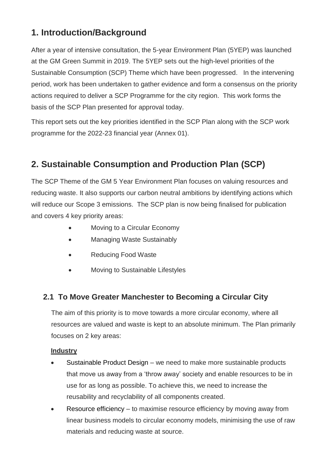# **1. Introduction/Background**

After a year of intensive consultation, the 5-year Environment Plan (5YEP) was launched at the GM Green Summit in 2019. The 5YEP sets out the high-level priorities of the Sustainable Consumption (SCP) Theme which have been progressed. In the intervening period, work has been undertaken to gather evidence and form a consensus on the priority actions required to deliver a SCP Programme for the city region. This work forms the basis of the SCP Plan presented for approval today.

This report sets out the key priorities identified in the SCP Plan along with the SCP work programme for the 2022-23 financial year (Annex 01).

# **2. Sustainable Consumption and Production Plan (SCP)**

The SCP Theme of the GM 5 Year Environment Plan focuses on valuing resources and reducing waste. It also supports our carbon neutral ambitions by identifying actions which will reduce our Scope 3 emissions. The SCP plan is now being finalised for publication and covers 4 key priority areas:

- Moving to a Circular Economy
- Managing Waste Sustainably
- Reducing Food Waste
- Moving to Sustainable Lifestyles

# **2.1 To Move Greater Manchester to Becoming a Circular City**

The aim of this priority is to move towards a more circular economy, where all resources are valued and waste is kept to an absolute minimum. The Plan primarily focuses on 2 key areas:

#### **Industry**

- Sustainable Product Design we need to make more sustainable products that move us away from a 'throw away' society and enable resources to be in use for as long as possible. To achieve this, we need to increase the reusability and recyclability of all components created.
- Resource efficiency to maximise resource efficiency by moving away from linear business models to circular economy models, minimising the use of raw materials and reducing waste at source.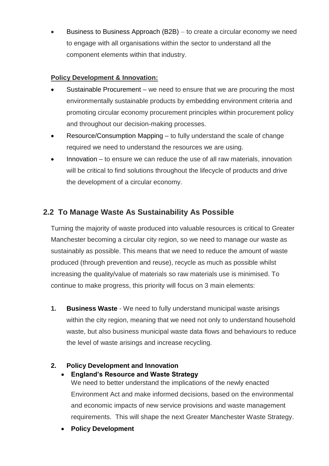Business to Business Approach (B2B) – to create a circular economy we need to engage with all organisations within the sector to understand all the component elements within that industry.

#### **Policy Development & Innovation:**

- Sustainable Procurement we need to ensure that we are procuring the most environmentally sustainable products by embedding environment criteria and promoting circular economy procurement principles within procurement policy and throughout our decision-making processes.
- Resource/Consumption Mapping to fully understand the scale of change required we need to understand the resources we are using.
- Innovation to ensure we can reduce the use of all raw materials, innovation will be critical to find solutions throughout the lifecycle of products and drive the development of a circular economy.

## **2.2 To Manage Waste As Sustainability As Possible**

Turning the majority of waste produced into valuable resources is critical to Greater Manchester becoming a circular city region, so we need to manage our waste as sustainably as possible. This means that we need to reduce the amount of waste produced (through prevention and reuse), recycle as much as possible whilst increasing the quality/value of materials so raw materials use is minimised. To continue to make progress, this priority will focus on 3 main elements:

**1. Business Waste** - We need to fully understand municipal waste arisings within the city region, meaning that we need not only to understand household waste, but also business municipal waste data flows and behaviours to reduce the level of waste arisings and increase recycling.

### **2. Policy Development and Innovation**

- **England's Resource and Waste Strategy** We need to better understand the implications of the newly enacted Environment Act and make informed decisions, based on the environmental and economic impacts of new service provisions and waste management requirements. This will shape the next Greater Manchester Waste Strategy.
- **Policy Development**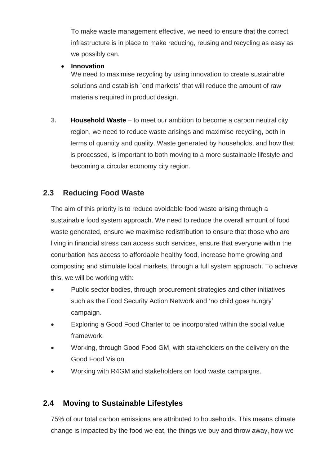To make waste management effective, we need to ensure that the correct infrastructure is in place to make reducing, reusing and recycling as easy as we possibly can.

#### **Innovation**

We need to maximise recycling by using innovation to create sustainable solutions and establish `end markets' that will reduce the amount of raw materials required in product design.

**3. Household Waste** – to meet our ambition to become a carbon neutral city region, we need to reduce waste arisings and maximise recycling, both in terms of quantity and quality. Waste generated by households, and how that is processed, is important to both moving to a more sustainable lifestyle and becoming a circular economy city region.

### **2.3 Reducing Food Waste**

The aim of this priority is to reduce avoidable food waste arising through a sustainable food system approach. We need to reduce the overall amount of food waste generated, ensure we maximise redistribution to ensure that those who are living in financial stress can access such services, ensure that everyone within the conurbation has access to affordable healthy food, increase home growing and composting and stimulate local markets, through a full system approach. To achieve this, we will be working with:

- Public sector bodies, through procurement strategies and other initiatives such as the Food Security Action Network and 'no child goes hungry' campaign.
- Exploring a Good Food Charter to be incorporated within the social value framework.
- Working, through Good Food GM, with stakeholders on the delivery on the Good Food Vision.
- Working with R4GM and stakeholders on food waste campaigns.

# **2.4 Moving to Sustainable Lifestyles**

75% of our total carbon emissions are attributed to households. This means climate change is impacted by the food we eat, the things we buy and throw away, how we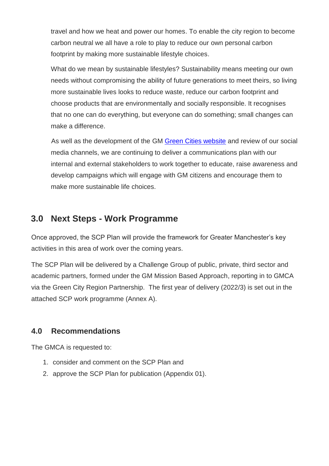travel and how we heat and power our homes. To enable the city region to become carbon neutral we all have a role to play to reduce our own personal carbon footprint by making more sustainable lifestyle choices.

What do we mean by sustainable lifestyles? Sustainability means meeting our own needs without compromising the ability of future generations to meet theirs, so living more sustainable lives looks to reduce waste, reduce our carbon footprint and choose products that are environmentally and socially responsible. It recognises that no one can do everything, but everyone can do something; small changes can make a difference.

As well as the development of the GM [Green Cities website](https://gmgreencity.com/) and review of our social media channels, we are continuing to deliver a communications plan with our internal and external stakeholders to work together to educate, raise awareness and develop campaigns which will engage with GM citizens and encourage them to make more sustainable life choices.

# **3.0 Next Steps - Work Programme**

Once approved, the SCP Plan will provide the framework for Greater Manchester's key activities in this area of work over the coming years.

The SCP Plan will be delivered by a Challenge Group of public, private, third sector and academic partners, formed under the GM Mission Based Approach, reporting in to GMCA via the Green City Region Partnership. The first year of delivery (2022/3) is set out in the attached SCP work programme (Annex A).

# **4.0 Recommendations**

The GMCA is requested to:

- 1. consider and comment on the SCP Plan and
- 2. approve the SCP Plan for publication (Appendix 01).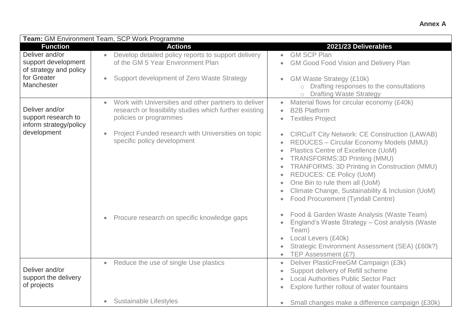|                                                                 | Team: GM Environment Team, SCP Work Programme                                                                                                         |                                                                                                                                                                                                                                                                                                                                                                                                                                                                                        |
|-----------------------------------------------------------------|-------------------------------------------------------------------------------------------------------------------------------------------------------|----------------------------------------------------------------------------------------------------------------------------------------------------------------------------------------------------------------------------------------------------------------------------------------------------------------------------------------------------------------------------------------------------------------------------------------------------------------------------------------|
| <b>Function</b><br>Deliver and/or                               | <b>Actions</b><br>Develop detailed policy reports to support delivery<br>$\bullet$                                                                    | 2021/23 Deliverables<br><b>GM SCP Plan</b><br>$\bullet$                                                                                                                                                                                                                                                                                                                                                                                                                                |
| support development<br>of strategy and policy                   | of the GM 5 Year Environment Plan                                                                                                                     | <b>GM Good Food Vision and Delivery Plan</b><br>$\bullet$                                                                                                                                                                                                                                                                                                                                                                                                                              |
| for Greater<br>Manchester                                       | Support development of Zero Waste Strategy<br>$\bullet$                                                                                               | <b>GM Waste Strategy (£10k)</b><br>$\bullet$<br>Drafting responses to the consultations<br>$\circ$<br><b>Drafting Waste Strategy</b>                                                                                                                                                                                                                                                                                                                                                   |
| Deliver and/or<br>support research to<br>inform strategy/policy | Work with Universities and other partners to deliver<br>$\bullet$<br>research or feasibility studies which further existing<br>policies or programmes | Material flows for circular economy (£40k)<br>$\bullet$<br><b>B2B Platform</b><br>$\bullet$<br><b>Textiles Project</b><br>$\bullet$                                                                                                                                                                                                                                                                                                                                                    |
| development                                                     | Project Funded research with Universities on topic<br>$\bullet$<br>specific policy development                                                        | <b>CIRCuIT City Network: CE Construction (LAWAB)</b><br>REDUCES - Circular Economy Models (MMU)<br>Plastics Centre of Excellence (UoM)<br>$\bullet$<br><b>TRANSFORMS:3D Printing (MMU)</b><br>$\bullet$<br>TRANFORMS: 3D Printing in Construction (MMU)<br>$\bullet$<br><b>REDUCES: CE Policy (UoM)</b><br>$\bullet$<br>One Bin to rule them all (UoM)<br>$\bullet$<br>Climate Change, Sustainability & Inclusion (UoM)<br>$\bullet$<br>Food Procurement (Tyndall Centre)<br>$\bullet$ |
|                                                                 | Procure research on specific knowledge gaps<br>$\bullet$                                                                                              | Food & Garden Waste Analysis (Waste Team)<br>$\bullet$<br>England's Waste Strategy - Cost analysis (Waste<br>Team)<br>Local Levers (£40k)<br>$\bullet$<br>Strategic Environment Assessment (SEA) (£60k?)<br>$\bullet$<br>TEP Assessment (£?)<br>$\bullet$                                                                                                                                                                                                                              |
| Deliver and/or<br>support the delivery<br>of projects           | Reduce the use of single Use plastics<br>$\bullet$                                                                                                    | Deliver PlasticFreeGM Campaign (£3k)<br>$\bullet$<br>Support delivery of Refill scheme<br>$\bullet$<br><b>Local Authorities Public Sector Pact</b><br>Explore further rollout of water fountains<br>$\bullet$                                                                                                                                                                                                                                                                          |
|                                                                 | <b>Sustainable Lifestyles</b><br>$\bullet$                                                                                                            | Small changes make a difference campaign (£30k)<br>$\bullet$                                                                                                                                                                                                                                                                                                                                                                                                                           |